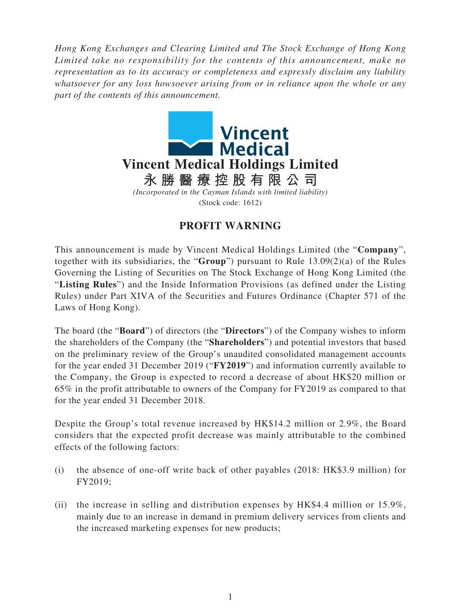*Hong Kong Exchanges and Clearing Limited and The Stock Exchange of Hong Kong Limited take no responsibility for the contents of this announcement, make no representation as to its accuracy or completeness and expressly disclaim any liability whatsoever for any loss howsoever arising from or in reliance upon the whole or any part of the contents of this announcement.*



## **PROFIT WARNING**

This announcement is made by Vincent Medical Holdings Limited (the "**Company**", together with its subsidiaries, the "**Group**") pursuant to Rule 13.09(2)(a) of the Rules Governing the Listing of Securities on The Stock Exchange of Hong Kong Limited (the "**Listing Rules**") and the Inside Information Provisions (as defined under the Listing Rules) under Part XIVA of the Securities and Futures Ordinance (Chapter 571 of the Laws of Hong Kong).

The board (the "**Board**") of directors (the "**Directors**") of the Company wishes to inform the shareholders of the Company (the "**Shareholders**") and potential investors that based on the preliminary review of the Group's unaudited consolidated management accounts for the year ended 31 December 2019 ("**FY2019**") and information currently available to the Company, the Group is expected to record a decrease of about HK\$20 million or 65% in the profit attributable to owners of the Company for FY2019 as compared to that for the year ended 31 December 2018.

Despite the Group's total revenue increased by HK\$14.2 million or 2.9%, the Board considers that the expected profit decrease was mainly attributable to the combined effects of the following factors:

- (i) the absence of one-off write back of other payables (2018: HK\$3.9 million) for FY2019;
- (ii) the increase in selling and distribution expenses by HK\$4.4 million or 15.9%, mainly due to an increase in demand in premium delivery services from clients and the increased marketing expenses for new products;